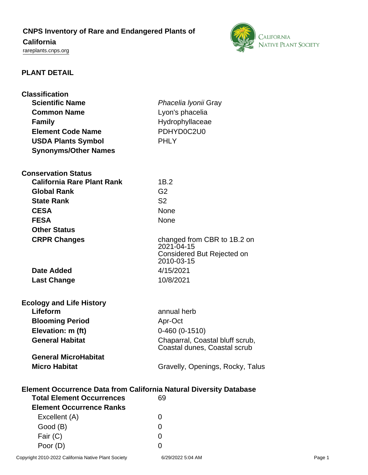# **CNPS Inventory of Rare and Endangered Plants of**

# **California**

<rareplants.cnps.org>



# **PLANT DETAIL**

| <b>Classification</b><br><b>Scientific Name</b>                           |                                          |  |
|---------------------------------------------------------------------------|------------------------------------------|--|
| <b>Common Name</b>                                                        | Phacelia Iyonii Gray<br>Lyon's phacelia  |  |
| <b>Family</b>                                                             | Hydrophyllaceae                          |  |
| <b>Element Code Name</b>                                                  | PDHYD0C2U0                               |  |
| <b>USDA Plants Symbol</b>                                                 | <b>PHLY</b>                              |  |
| <b>Synonyms/Other Names</b>                                               |                                          |  |
|                                                                           |                                          |  |
| <b>Conservation Status</b>                                                |                                          |  |
| <b>California Rare Plant Rank</b>                                         | 1B.2                                     |  |
| <b>Global Rank</b>                                                        | G <sub>2</sub>                           |  |
| <b>State Rank</b>                                                         | S <sub>2</sub>                           |  |
| <b>CESA</b>                                                               | <b>None</b>                              |  |
| <b>FESA</b>                                                               | None                                     |  |
| <b>Other Status</b>                                                       |                                          |  |
| <b>CRPR Changes</b>                                                       | changed from CBR to 1B.2 on              |  |
|                                                                           | 2021-04-15                               |  |
|                                                                           | Considered But Rejected on<br>2010-03-15 |  |
| <b>Date Added</b>                                                         | 4/15/2021                                |  |
| <b>Last Change</b>                                                        | 10/8/2021                                |  |
|                                                                           |                                          |  |
| <b>Ecology and Life History</b>                                           |                                          |  |
| Lifeform                                                                  | annual herb                              |  |
| <b>Blooming Period</b>                                                    | Apr-Oct                                  |  |
| Elevation: m (ft)                                                         | $0-460(0-1510)$                          |  |
| <b>General Habitat</b>                                                    | Chaparral, Coastal bluff scrub,          |  |
|                                                                           | Coastal dunes, Coastal scrub             |  |
| <b>General MicroHabitat</b>                                               |                                          |  |
| <b>Micro Habitat</b>                                                      | Gravelly, Openings, Rocky, Talus         |  |
|                                                                           |                                          |  |
| <b>Element Occurrence Data from California Natural Diversity Database</b> |                                          |  |
| <b>Total Element Occurrences</b>                                          | 69                                       |  |
| <b>Element Occurrence Ranks</b>                                           |                                          |  |
| Excellent (A)                                                             | 0                                        |  |
| Good (B)                                                                  | 0                                        |  |
| Fair (C)                                                                  | 0                                        |  |
| Poor (D)                                                                  | 0                                        |  |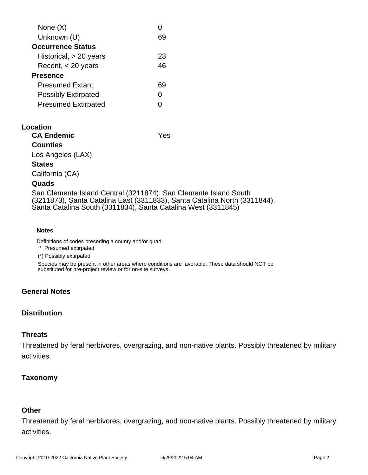| None $(X)$                 |    |
|----------------------------|----|
| Unknown (U)                |    |
| <b>Occurrence Status</b>   |    |
| Historical, $> 20$ years   | 23 |
| Recent, $<$ 20 years       | 46 |
| <b>Presence</b>            |    |
| <b>Presumed Extant</b>     | 69 |
| <b>Possibly Extirpated</b> | O  |
| <b>Presumed Extirpated</b> |    |
|                            |    |

#### **Location**

| <b>CA Endemic</b> | Yes |
|-------------------|-----|
| <b>Counties</b>   |     |
| Los Angeles (LAX) |     |
| <b>States</b>     |     |
| California (CA)   |     |
| <b>Ougde</b>      |     |

#### **Quads**

San Clemente Island Central (3211874), San Clemente Island South (3211873), Santa Catalina East (3311833), Santa Catalina North (3311844), Santa Catalina South (3311834), Santa Catalina West (3311845)

#### **Notes**

Definitions of codes preceding a county and/or quad:

\* Presumed extirpated

(\*) Possibly extirpated

Species may be present in other areas where conditions are favorable. These data should NOT be substituted for pre-project review or for on-site surveys.

### **General Notes**

### **Distribution**

### **Threats**

Threatened by feral herbivores, overgrazing, and non-native plants. Possibly threatened by military activities.

### **Taxonomy**

## **Other**

Threatened by feral herbivores, overgrazing, and non-native plants. Possibly threatened by military activities.